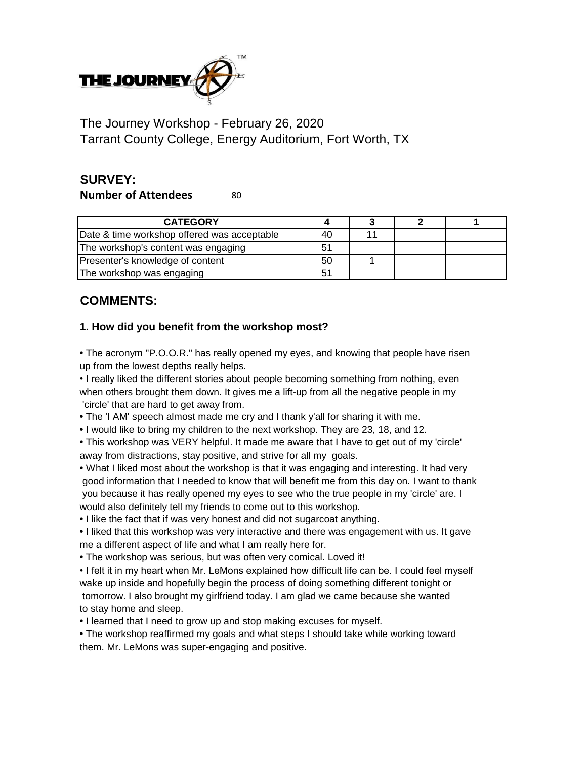

The Journey Workshop - February 26, 2020 Tarrant County College, Energy Auditorium, Fort Worth, TX

## **SURVEY:**

**Number of Attendees** 80

| <b>CATEGORY</b>                             |    |  |  |
|---------------------------------------------|----|--|--|
| Date & time workshop offered was acceptable | 40 |  |  |
| The workshop's content was engaging         |    |  |  |
| Presenter's knowledge of content            | 50 |  |  |
| The workshop was engaging                   |    |  |  |

## **COMMENTS:**

## **1. How did you benefit from the workshop most?**

**•** The acronym "P.O.O.R." has really opened my eyes, and knowing that people have risen up from the lowest depths really helps.

• I really liked the different stories about people becoming something from nothing, even when others brought them down. It gives me a lift-up from all the negative people in my 'circle' that are hard to get away from.

**•** The 'I AM' speech almost made me cry and I thank y'all for sharing it with me.

**•** I would like to bring my children to the next workshop. They are 23, 18, and 12.

**•** This workshop was VERY helpful. It made me aware that I have to get out of my 'circle' away from distractions, stay positive, and strive for all my goals.

**•** What I liked most about the workshop is that it was engaging and interesting. It had very good information that I needed to know that will benefit me from this day on. I want to thank you because it has really opened my eyes to see who the true people in my 'circle' are. I would also definitely tell my friends to come out to this workshop.

**•** I like the fact that if was very honest and did not sugarcoat anything.

**•** I liked that this workshop was very interactive and there was engagement with us. It gave me a different aspect of life and what I am really here for.

**•** The workshop was serious, but was often very comical. Loved it!

• I felt it in my heart when Mr. LeMons explained how difficult life can be. I could feel myself wake up inside and hopefully begin the process of doing something different tonight or tomorrow. I also brought my girlfriend today. I am glad we came because she wanted to stay home and sleep.

**•** I learned that I need to grow up and stop making excuses for myself.

**•** The workshop reaffirmed my goals and what steps I should take while working toward them. Mr. LeMons was super-engaging and positive.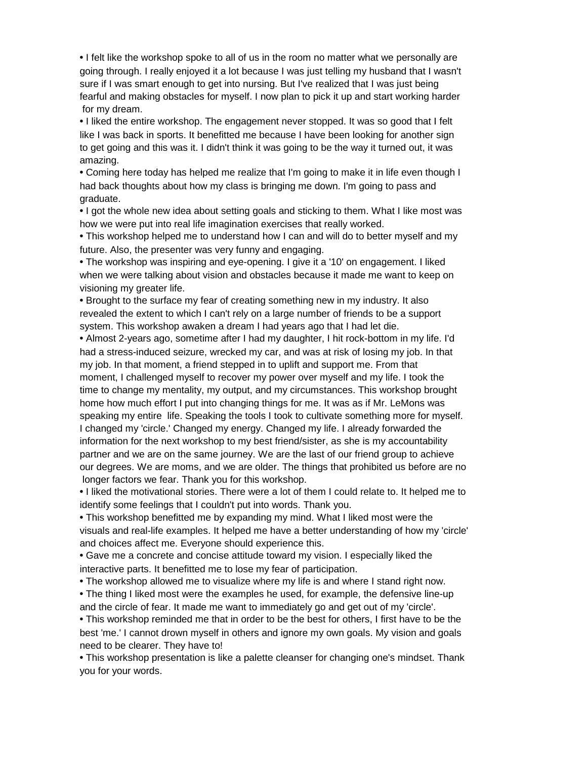**•** I felt like the workshop spoke to all of us in the room no matter what we personally are going through. I really enjoyed it a lot because I was just telling my husband that I wasn't sure if I was smart enough to get into nursing. But I've realized that I was just being fearful and making obstacles for myself. I now plan to pick it up and start working harder for my dream.

**•** I liked the entire workshop. The engagement never stopped. It was so good that I felt like I was back in sports. It benefitted me because I have been looking for another sign to get going and this was it. I didn't think it was going to be the way it turned out, it was amazing.

**•** Coming here today has helped me realize that I'm going to make it in life even though I had back thoughts about how my class is bringing me down. I'm going to pass and graduate.

**•** I got the whole new idea about setting goals and sticking to them. What I like most was how we were put into real life imagination exercises that really worked.

**•** This workshop helped me to understand how I can and will do to better myself and my future. Also, the presenter was very funny and engaging.

**•** The workshop was inspiring and eye-opening. I give it a '10' on engagement. I liked when we were talking about vision and obstacles because it made me want to keep on visioning my greater life.

**•** Brought to the surface my fear of creating something new in my industry. It also revealed the extent to which I can't rely on a large number of friends to be a support system. This workshop awaken a dream I had years ago that I had let die.

**•** Almost 2-years ago, sometime after I had my daughter, I hit rock-bottom in my life. I'd had a stress-induced seizure, wrecked my car, and was at risk of losing my job. In that my job. In that moment, a friend stepped in to uplift and support me. From that moment, I challenged myself to recover my power over myself and my life. I took the time to change my mentality, my output, and my circumstances. This workshop brought home how much effort I put into changing things for me. It was as if Mr. LeMons was speaking my entire life. Speaking the tools I took to cultivate something more for myself. I changed my 'circle.' Changed my energy. Changed my life. I already forwarded the information for the next workshop to my best friend/sister, as she is my accountability partner and we are on the same journey. We are the last of our friend group to achieve our degrees. We are moms, and we are older. The things that prohibited us before are no longer factors we fear. Thank you for this workshop.

**•** I liked the motivational stories. There were a lot of them I could relate to. It helped me to identify some feelings that I couldn't put into words. Thank you.

**•** This workshop benefitted me by expanding my mind. What I liked most were the visuals and real-life examples. It helped me have a better understanding of how my 'circle' and choices affect me. Everyone should experience this.

**•** Gave me a concrete and concise attitude toward my vision. I especially liked the interactive parts. It benefitted me to lose my fear of participation.

**•** The workshop allowed me to visualize where my life is and where I stand right now.

**•** The thing I liked most were the examples he used, for example, the defensive line-up and the circle of fear. It made me want to immediately go and get out of my 'circle'.

**•** This workshop reminded me that in order to be the best for others, I first have to be the best 'me.' I cannot drown myself in others and ignore my own goals. My vision and goals need to be clearer. They have to!

**•** This workshop presentation is like a palette cleanser for changing one's mindset. Thank you for your words.